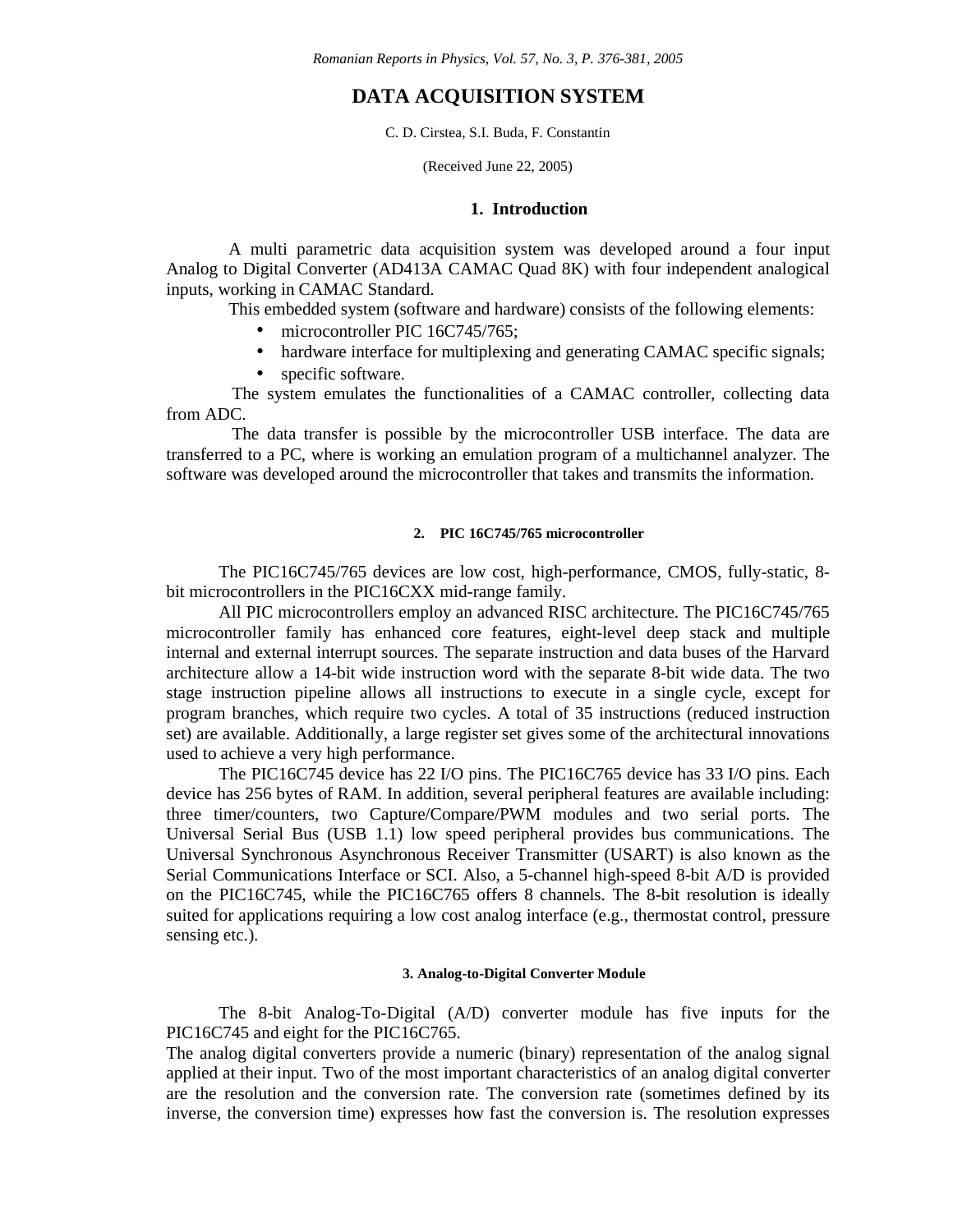*Romanian Reports in Physics, Vol. 57, No. 3, P. 376-381, 2005*

# **DATA ACQUISITION SYSTEM**

C. D. Cirstea, S.I. Buda, F. Constantin

(Received June 22, 2005)

## **1. Introduction**

A multi parametric data acquisition system was developed around a four input Analog to Digital Converter (AD413A CAMAC Quad 8K) with four independent analogical inputs, working in CAMAC Standard.

This embedded system (software and hardware) consists of the following elements:

- microcontroller PIC 16C745/765;
- hardware interface for multiplexing and generating CAMAC specific signals;
- specific software.

The system emulates the functionalities of a CAMAC controller, collecting data from ADC.

The data transfer is possible by the microcontroller USB interface. The data are transferred to a PC, where is working an emulation program of a multichannel analyzer. The software was developed around the microcontroller that takes and transmits the information.

# **2. PIC 16C745/765 microcontroller**

The PIC16C745/765 devices are low cost, high-performance, CMOS, fully-static, 8 bit microcontrollers in the PIC16CXX mid-range family.

All PIC microcontrollers employ an advanced RISC architecture. The PIC16C745/765 microcontroller family has enhanced core features, eight-level deep stack and multiple internal and external interrupt sources. The separate instruction and data buses of the Harvard architecture allow a 14-bit wide instruction word with the separate 8-bit wide data. The two stage instruction pipeline allows all instructions to execute in a single cycle, except for program branches, which require two cycles. A total of 35 instructions (reduced instruction set) are available. Additionally, a large register set gives some of the architectural innovations used to achieve a very high performance.

The PIC16C745 device has 22 I/O pins. The PIC16C765 device has 33 I/O pins. Each device has 256 bytes of RAM. In addition, several peripheral features are available including: three timer/counters, two Capture/Compare/PWM modules and two serial ports. The Universal Serial Bus (USB 1.1) low speed peripheral provides bus communications. The Universal Synchronous Asynchronous Receiver Transmitter (USART) is also known as the Serial Communications Interface or SCI. Also, a 5-channel high-speed 8-bit A/D is provided on the PIC16C745, while the PIC16C765 offers 8 channels. The 8-bit resolution is ideally suited for applications requiring a low cost analog interface (e.g., thermostat control, pressure sensing etc.).

## **3. Analog-to-Digital Converter Module**

The 8-bit Analog-To-Digital (A/D) converter module has five inputs for the PIC16C745 and eight for the PIC16C765.

The analog digital converters provide a numeric (binary) representation of the analog signal applied at their input. Two of the most important characteristics of an analog digital converter are the resolution and the conversion rate. The conversion rate (sometimes defined by its inverse, the conversion time) expresses how fast the conversion is. The resolution expresses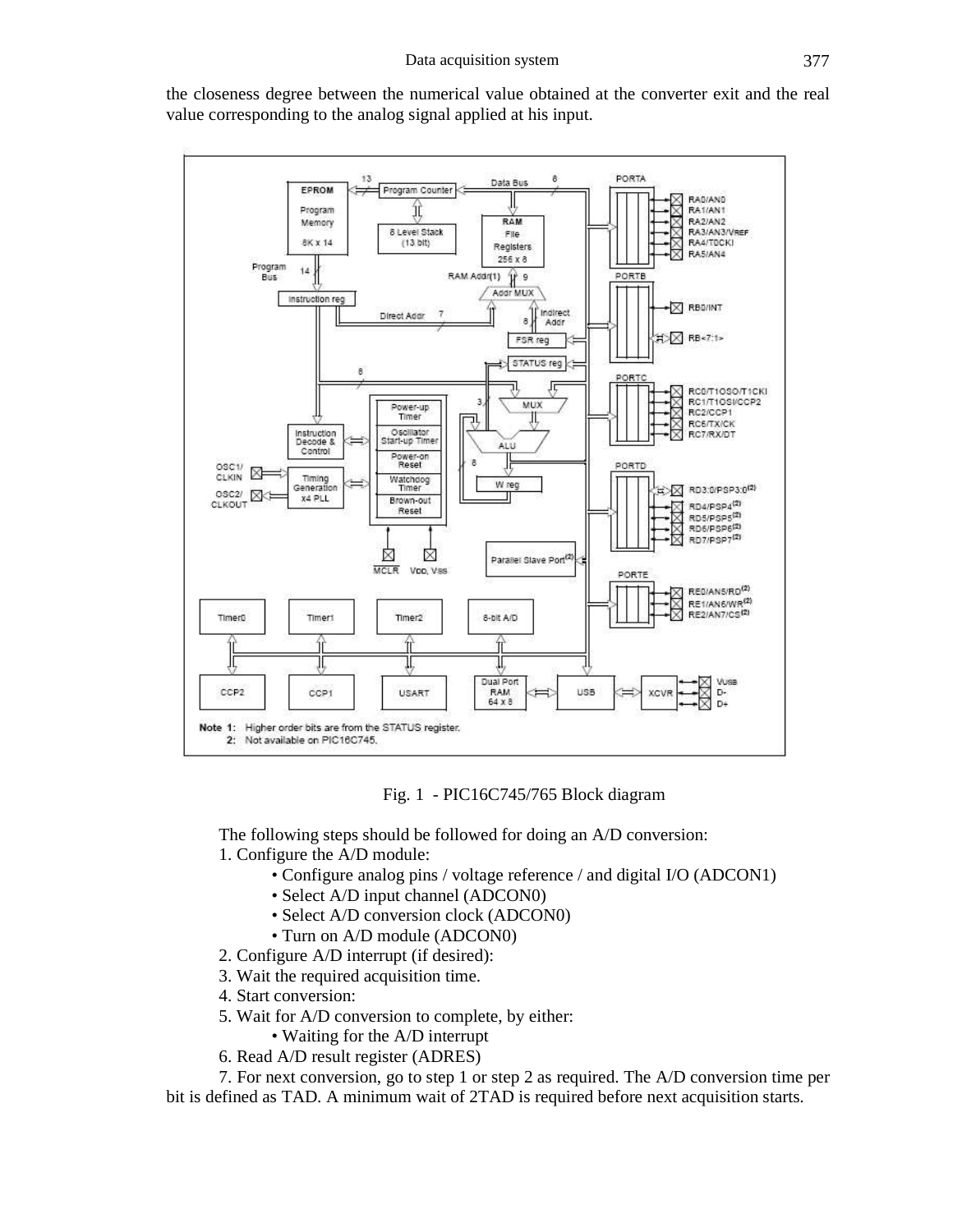

the closeness degree between the numerical value obtained at the converter exit and the real value corresponding to the analog signal applied at his input.



The following steps should be followed for doing an A/D conversion: 1. Configure the A/D module:

- Configure analog pins / voltage reference / and digital I/O (ADCON1)
- Select A/D input channel (ADCON0)
- Select A/D conversion clock (ADCON0)
- Turn on A/D module (ADCON0)
- 2. Configure A/D interrupt (if desired):
- 3. Wait the required acquisition time.
- 4. Start conversion:
- 5. Wait for A/D conversion to complete, by either:
	- Waiting for the A/D interrupt
- 6. Read A/D result register (ADRES)

7. For next conversion, go to step 1 or step 2 as required. The A/D conversion time per bit is defined as TAD. A minimum wait of 2TAD is required before next acquisition starts.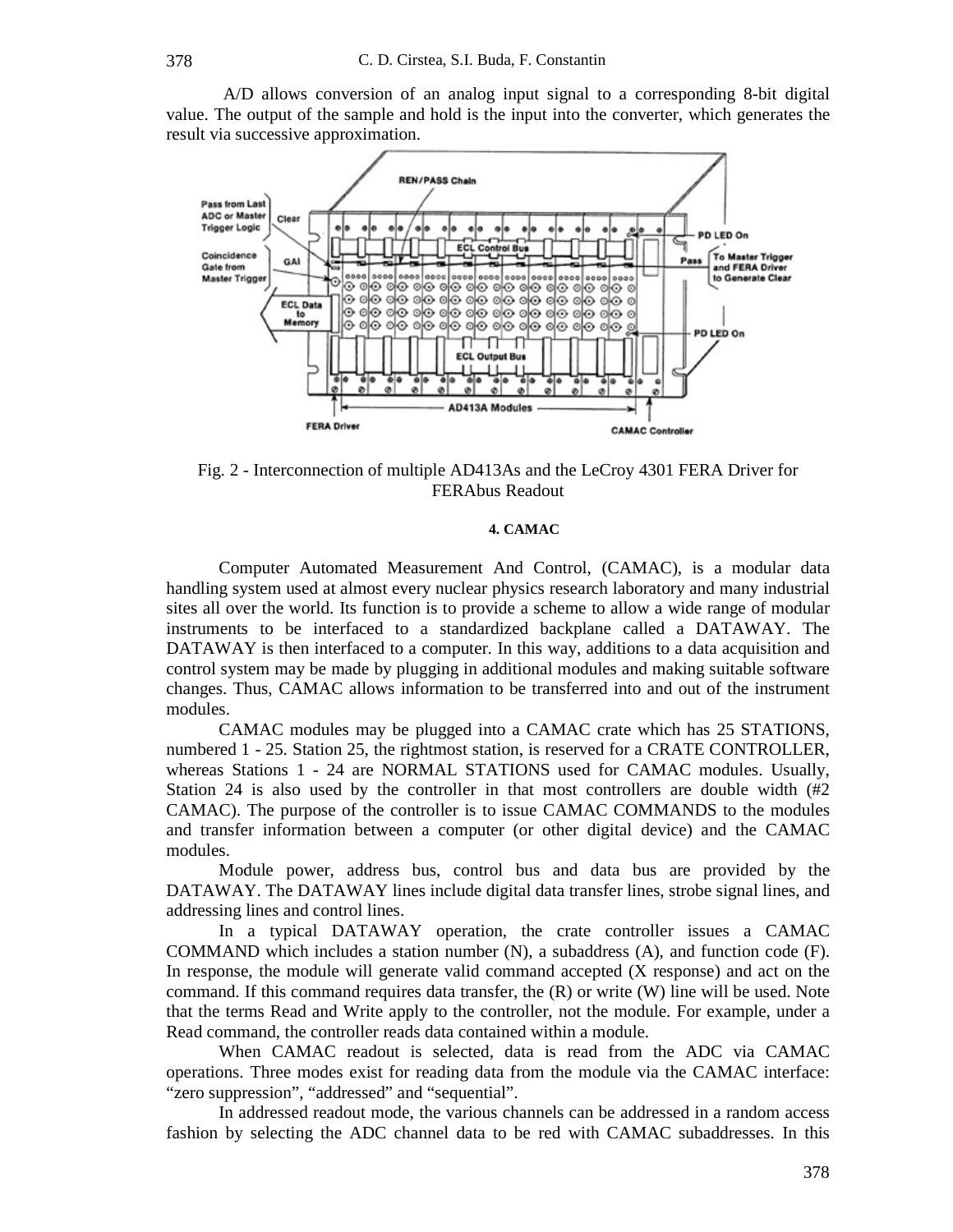A/D allows conversion of an analog input signal to a corresponding 8-bit digital value. The output of the sample and hold is the input into the converter, which generates the result via successive approximation.



Fig. 2 - Interconnection of multiple AD413As and the LeCroy 4301 FERA Driver for FERAbus Readout

#### **4. CAMAC**

Computer Automated Measurement And Control, (CAMAC), is a modular data handling system used at almost every nuclear physics research laboratory and many industrial sites all over the world. Its function is to provide a scheme to allow a wide range of modular instruments to be interfaced to a standardized backplane called a DATAWAY. The DATAWAY is then interfaced to a computer. In this way, additions to a data acquisition and control system may be made by plugging in additional modules and making suitable software changes. Thus, CAMAC allows information to be transferred into and out of the instrument modules.

CAMAC modules may be plugged into a CAMAC crate which has 25 STATIONS, numbered 1 - 25. Station 25, the rightmost station, is reserved for a CRATE CONTROLLER, whereas Stations 1 - 24 are NORMAL STATIONS used for CAMAC modules. Usually, Station 24 is also used by the controller in that most controllers are double width (#2) CAMAC). The purpose of the controller is to issue CAMAC COMMANDS to the modules and transfer information between a computer (or other digital device) and the CAMAC modules.

Module power, address bus, control bus and data bus are provided by the DATAWAY. The DATAWAY lines include digital data transfer lines, strobe signal lines, and addressing lines and control lines.

In a typical DATAWAY operation, the crate controller issues a CAMAC COMMAND which includes a station number (N), a subaddress (A), and function code (F). In response, the module will generate valid command accepted (X response) and act on the command. If this command requires data transfer, the (R) or write (W) line will be used. Note that the terms Read and Write apply to the controller, not the module. For example, under a Read command, the controller reads data contained within a module.

When CAMAC readout is selected, data is read from the ADC via CAMAC operations. Three modes exist for reading data from the module via the CAMAC interface: "zero suppression", "addressed" and "sequential".

In addressed readout mode, the various channels can be addressed in a random access fashion by selecting the ADC channel data to be red with CAMAC subaddresses. In this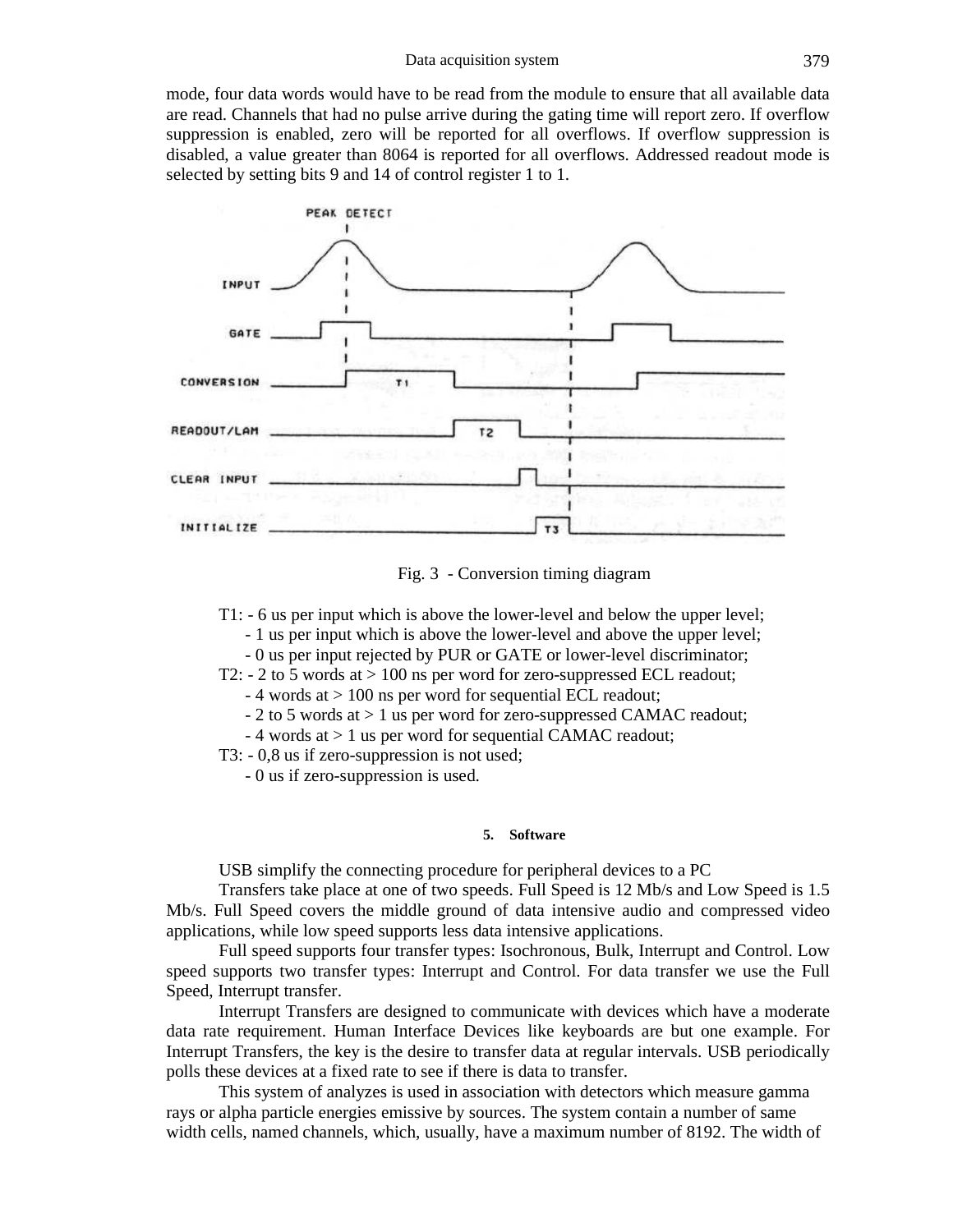mode, four data words would have to be read from the module to ensure that all available data are read. Channels that had no pulse arrive during the gating time will report zero. If overflow suppression is enabled, zero will be reported for all overflows. If overflow suppression is disabled, a value greater than 8064 is reported for all overflows. Addressed readout mode is selected by setting bits 9 and 14 of control register 1 to 1.



Fig. 3 - Conversion timing diagram

T1: - 6 us per input which is above the lower-level and below the upper level; - 1 us per input which is above the lower-level and above the upper level;

- 0 us per input rejected by PUR or GATE or lower-level discriminator;

T2:  $-$  2 to 5 words at  $> 100$  ns per word for zero-suppressed ECL readout;

- 4 words at > 100 ns per word for sequential ECL readout;

- 2 to 5 words at > 1 us per word for zero-suppressed CAMAC readout;

- 4 words at > 1 us per word for sequential CAMAC readout;

T3: - 0,8 us if zero-suppression is not used;

- 0 us if zero-suppression is used.

#### **5. Software**

USB simplify the connecting procedure for peripheral devices to a PC

Transfers take place at one of two speeds. Full Speed is 12 Mb/s and Low Speed is 1.5 Mb/s. Full Speed covers the middle ground of data intensive audio and compressed video applications, while low speed supports less data intensive applications.

Full speed supports four transfer types: Isochronous, Bulk, Interrupt and Control. Low speed supports two transfer types: Interrupt and Control. For data transfer we use the Full Speed, Interrupt transfer.

Interrupt Transfers are designed to communicate with devices which have a moderate data rate requirement. Human Interface Devices like keyboards are but one example. For Interrupt Transfers, the key is the desire to transfer data at regular intervals. USB periodically polls these devices at a fixed rate to see if there is data to transfer.

This system of analyzes is used in association with detectors which measure gamma rays or alpha particle energies emissive by sources. The system contain a number of same width cells, named channels, which, usually, have a maximum number of 8192. The width of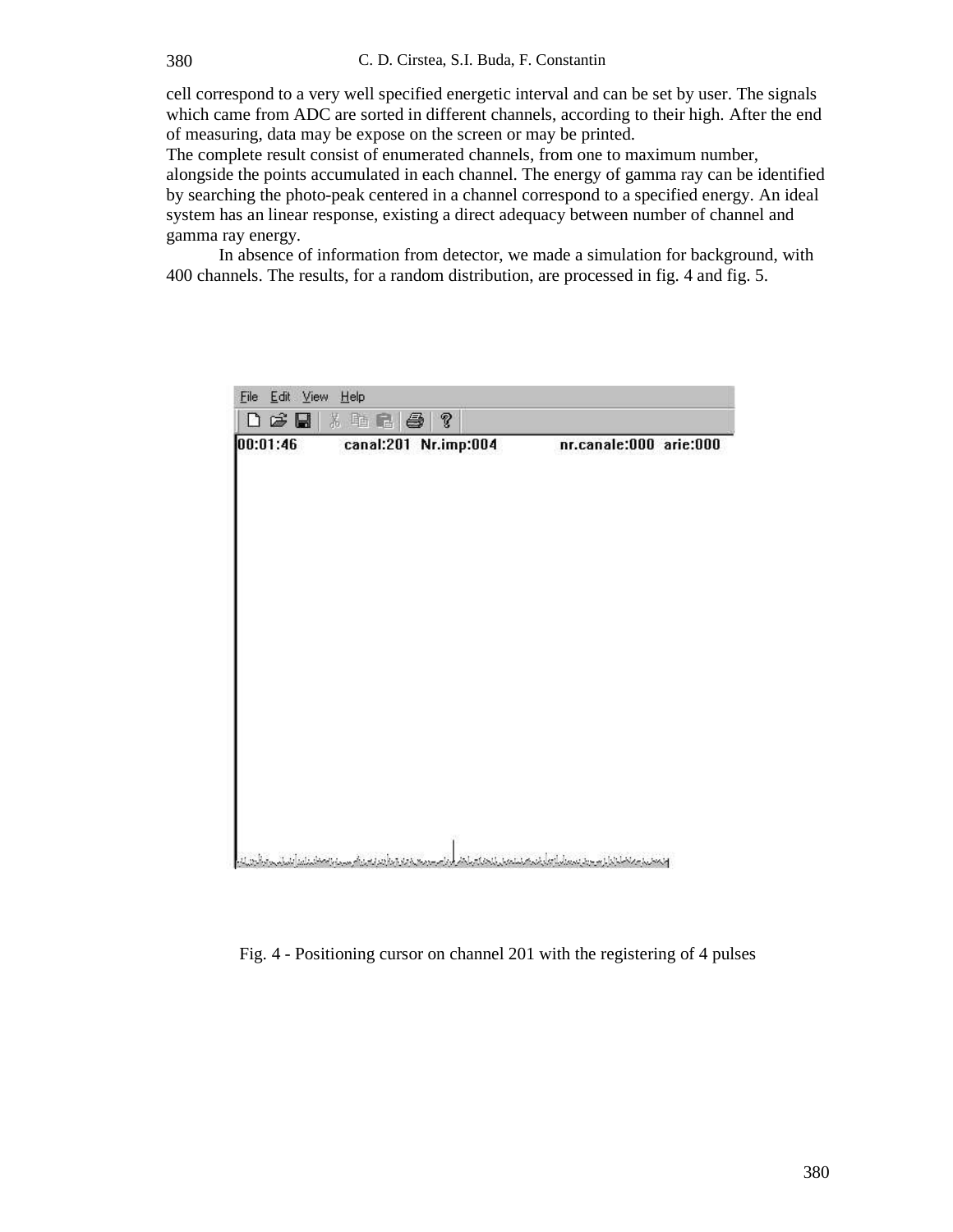cell correspond to a very well specified energetic interval and can be set by user. The signals which came from ADC are sorted in different channels, according to their high. After the end of measuring, data may be expose on the screen or may be printed.

The complete result consist of enumerated channels, from one to maximum number, alongside the points accumulated in each channel. The energy of gamma ray can be identified by searching the photo-peak centered in a channel correspond to a specified energy. An ideal system has an linear response, existing a direct adequacy between number of channel and gamma ray energy.

In absence of information from detector, we made a simulation for background, with 400 channels. The results, for a random distribution, are processed in fig. 4 and fig. 5.

| File Edit View Help<br>口声圈 太阳尼 参 ?        |  |                                                           |
|-------------------------------------------|--|-----------------------------------------------------------|
|                                           |  |                                                           |
|                                           |  |                                                           |
|                                           |  |                                                           |
|                                           |  |                                                           |
|                                           |  |                                                           |
|                                           |  |                                                           |
| سيدانا الافتان بالمار أينبا مهروا وأعرابا |  | والمعادية ومناطباتها وسوود بسمائية وبأرضيهم نستعمل لنحفاض |

Fig. 4 - Positioning cursor on channel 201 with the registering of 4 pulses